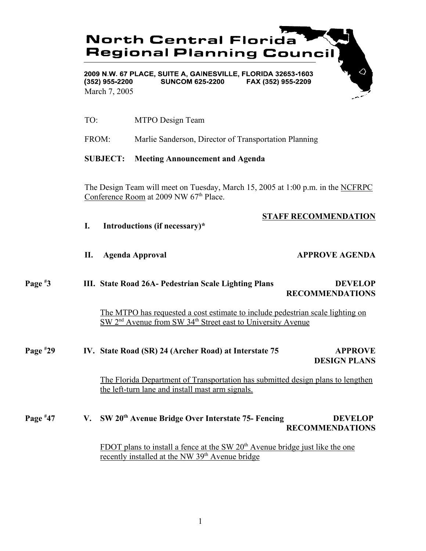

2009 N.W. 67 PLACE, SUITE A, GAINESVILLE, FLORIDA 32653-1603  $(352)$  955-2200 **SUNCOM 625-2200** FAX (352) 955-2209 March 7, 2005

- TO: MTPO Design Team
- FROM: Marlie Sanderson, Director of Transportation Planning

# **SUBJECT: Meeting Announcement and Agenda**

The Design Team will meet on Tuesday, March 15, 2005 at 1:00 p.m. in the NCFRPC Conference Room at 2009 NW 67<sup>th</sup> Place.

# **STAFF RECOMMENDATION**

**I. Introductions (if necessary)\***

# **II.** Agenda Approval **APPROVE AGENDA**

## **Page # 3 III. State Road 26A- Pedestrian Scale Lighting Plans DEVELOP RECOMMENDATIONS**

The MTPO has requested a cost estimate to include pedestrian scale lighting on  $\overline{\text{SW 2}}^{\text{nd}}$  Avenue from SW 34<sup>th</sup> Street east to University Avenue

**Page # 24 IV. State Road (SR) 24 (Archer Road) at Interstate 75 APPROVE DESIGN PLANS**

> The Florida Department of Transportation has submitted design plans to lengthen the left-turn lane and install mast arm signals.

## **Page #** V. SW 20<sup>th</sup> Avenue Bridge Over Interstate 75- Fencing **DEVELOP RECOMMENDATIONS**

FDOT plans to install a fence at the SW  $20<sup>th</sup>$  Avenue bridge just like the one recently installed at the NW 39<sup>th</sup> Avenue bridge